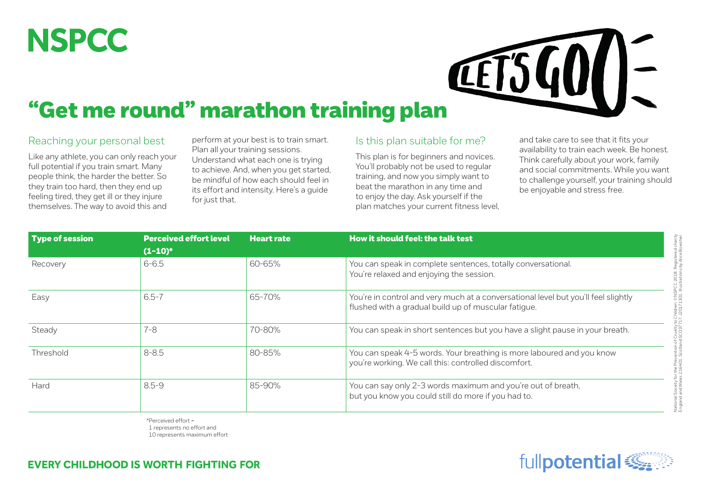## **NSPCC**



## "Get me round" marathon training plan

## Reaching your personal best

Like any athlete, you can only reach your full potential if you train smart. Many people think, the harder the better. So they train too hard, then they end up feeling tired, they get ill or they injure themselves. The way to avoid this and

perform at your best is to train smart. Plan all your training sessions. Understand what each one is trying to achieve. And, when you get started, be mindful of how each should feel in its effort and intensity. Here's a guide for just that.

## Is this plan suitable for me?

This plan is for beginners and novices. You'll probably not be used to regular training, and now you simply want to beat the marathon in any time and to enjoy the day. Ask yourself if the plan matches your current fitness level, and take care to see that it fits your availability to train each week. Be honest. Think carefully about your work, family and social commitments. While you want to challenge yourself, your training should be enjoyable and stress free.

| <b>Type of session</b> | <b>Perceived effort level</b><br>$(1-10)^*$ | <b>Heart rate</b> | How it should feel: the talk test<br>You can speak in complete sentences, totally conversational.<br>You're relaxed and enjoying the session. |  |  |  |
|------------------------|---------------------------------------------|-------------------|-----------------------------------------------------------------------------------------------------------------------------------------------|--|--|--|
| Recovery               | $6 - 6.5$                                   | 60-65%            |                                                                                                                                               |  |  |  |
| Easy                   | $6.5 - 7$                                   | 65-70%            | You're in control and very much at a conversational level but you'll feel slightly<br>flushed with a gradual build up of muscular fatique.    |  |  |  |
| Steady                 | $7 - 8$                                     | 70-80%            | You can speak in short sentences but you have a slight pause in your breath.                                                                  |  |  |  |
| Threshold              | $8 - 8.5$                                   | 80-85%            | You can speak 4-5 words. Your breathing is more laboured and you know<br>you're working. We call this: controlled discomfort.                 |  |  |  |
| Hard                   | $8.5 - 9$                                   | 85-90%            | You can say only 2-3 words maximum and you're out of breath,<br>but you know you could still do more if you had to.                           |  |  |  |

\*Perceived effort = 1 represents no effort and

10 represents maximum effort





National Society for the Prevention of Cruelty to Children. ©NSPCC 2018. Registered charity England and Wales 216401. Scotland SC037717. J20171301. Illustrations by Alice Bowsher.

ociety for the Prevention of Cruelty to Children. ©NSPCC 2018. Registered charit<br>nd Wales 216401. Scotland SC037717. J20171301. Illustrations by Alice Bowshe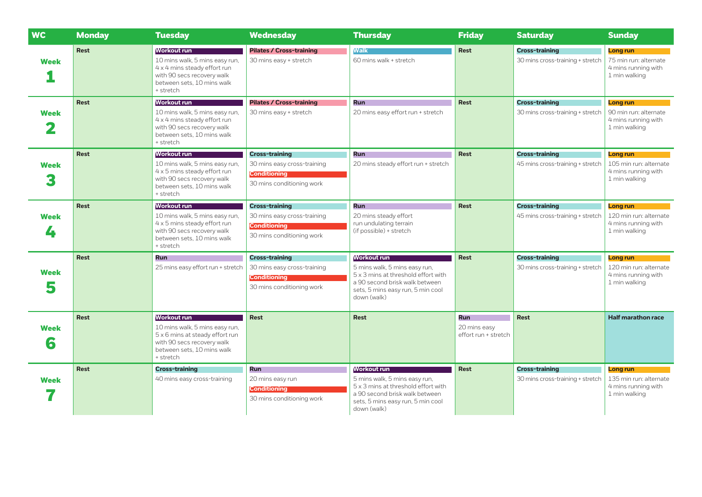| <b>WC</b>        | <b>Monday</b> | <b>Tuesday</b>                                                                                                                                                   | <b>Wednesday</b>                                                                                         | <b>Thursday</b>                                                                                                                                                                  | <b>Friday</b>                                      | <b>Saturday</b>                                           | <b>Sunday</b>                                                              |
|------------------|---------------|------------------------------------------------------------------------------------------------------------------------------------------------------------------|----------------------------------------------------------------------------------------------------------|----------------------------------------------------------------------------------------------------------------------------------------------------------------------------------|----------------------------------------------------|-----------------------------------------------------------|----------------------------------------------------------------------------|
| <b>Week</b>      | Rest          | <b>Workout run</b><br>10 mins walk, 5 mins easy run,<br>4 x 4 mins steady effort run<br>with 90 secs recovery walk<br>between sets. 10 mins walk<br>+ stretch    | <b>Pilates / Cross-training</b><br>30 mins easy + stretch                                                | <b>Walk</b><br>60 mins walk + stretch                                                                                                                                            | <b>Rest</b>                                        | <b>Cross-training</b><br>30 mins cross-training + stretch | Long run<br>75 min run: alternate<br>4 mins running with<br>1 min walking  |
| <b>Week</b>      | <b>Rest</b>   | <b>Workout run</b><br>10 mins walk, 5 mins easy run,<br>4 x 4 mins steady effort run<br>with 90 secs recovery walk<br>between sets, 10 mins walk<br>+ stretch    | <b>Pilates / Cross-training</b><br>30 mins easy + stretch                                                | <b>Run</b><br>20 mins easy effort run + stretch                                                                                                                                  | <b>Rest</b>                                        | <b>Cross-training</b><br>30 mins cross-training + stretch | Long run<br>90 min run: alternate<br>4 mins running with<br>1 min walking  |
| <b>Week</b>      | <b>Rest</b>   | <b>Workout run</b><br>10 mins walk, 5 mins easy run,<br>4 x 5 mins steady effort run<br>with 90 secs recovery walk<br>between sets, 10 mins walk<br>+ stretch    | <b>Cross-training</b><br>30 mins easy cross-training<br><b>Conditioning</b><br>30 mins conditioning work | Run<br>20 mins steady effort run + stretch                                                                                                                                       | <b>Rest</b>                                        | <b>Cross-training</b><br>45 mins cross-training + stretch | Long run<br>105 min run: alternate<br>4 mins running with<br>1 min walking |
| <b>Week</b><br>4 | <b>Rest</b>   | <b>Workout run</b><br>10 mins walk, 5 mins easy run,<br>4 x 5 mins steady effort run<br>with 90 secs recovery walk<br>between sets, 10 mins walk<br>+ stretch    | <b>Cross-training</b><br>30 mins easy cross-training<br><b>Conditioning</b><br>30 mins conditioning work | <b>Run</b><br>20 mins steady effort<br>run undulating terrain<br>(if possible) + stretch                                                                                         | <b>Rest</b>                                        | <b>Cross-training</b><br>45 mins cross-training + stretch | Long run<br>120 min run: alternate<br>4 mins running with<br>1 min walking |
| Week<br>5        | <b>Rest</b>   | <b>Run</b><br>25 mins easy effort run + stretch                                                                                                                  | <b>Cross-training</b><br>30 mins easy cross-training<br><b>Conditioning</b><br>30 mins conditioning work | <b>Workout run</b><br>5 mins walk, 5 mins easy run,<br>5 x 3 mins at threshold effort with<br>a 90 second brisk walk between<br>sets, 5 mins easy run, 5 min cool<br>down (walk) | <b>Rest</b>                                        | <b>Cross-training</b><br>30 mins cross-training + stretch | Long run<br>120 min run: alternate<br>4 mins running with<br>1 min walking |
| <b>Week</b><br>6 | <b>Rest</b>   | <b>Workout run</b><br>10 mins walk, 5 mins easy run,<br>5 x 6 mins at steady effort run<br>with 90 secs recovery walk<br>between sets. 10 mins walk<br>+ stretch | <b>Rest</b>                                                                                              | <b>Rest</b>                                                                                                                                                                      | <b>Run</b><br>20 mins easy<br>effort run + stretch | <b>Rest</b>                                               | <b>Half marathon race</b>                                                  |
| <b>Week</b>      | <b>Rest</b>   | <b>Cross-training</b><br>40 mins easy cross-training                                                                                                             | <b>Run</b><br>20 mins easy run<br><b>Conditioning</b><br>30 mins conditioning work                       | <b>Workout run</b><br>5 mins walk, 5 mins easy run,<br>5 x 3 mins at threshold effort with<br>a 90 second brisk walk between<br>sets, 5 mins easy run, 5 min cool<br>down (walk) | <b>Rest</b>                                        | <b>Cross-training</b><br>30 mins cross-training + stretch | Long run<br>135 min run: alternate<br>4 mins running with<br>1 min walking |